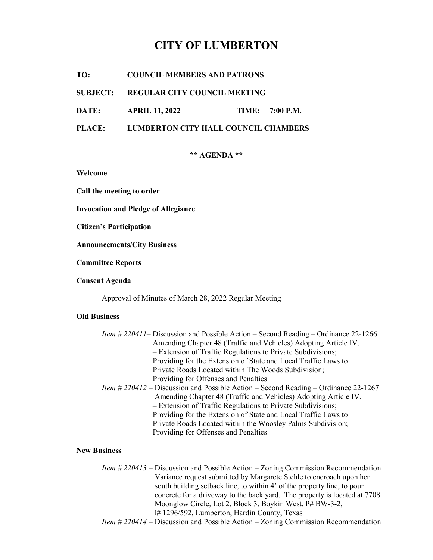# CITY OF LUMBERTON

TO: COUNCIL MEMBERS AND PATRONS

SUBJECT: REGULAR CITY COUNCIL MEETING

DATE: APRIL 11, 2022 TIME: 7:00 P.M.

PLACE: LUMBERTON CITY HALL COUNCIL CHAMBERS

\*\* AGENDA \*\*

Welcome

Call the meeting to order

Invocation and Pledge of Allegiance

Citizen's Participation

Announcements/City Business

Committee Reports

Consent Agenda

Approval of Minutes of March 28, 2022 Regular Meeting

# Old Business

| <i>Item # 220411</i> Discussion and Possible Action – Second Reading – Ordinance 22-1266   |
|--------------------------------------------------------------------------------------------|
| Amending Chapter 48 (Traffic and Vehicles) Adopting Article IV.                            |
| - Extension of Traffic Regulations to Private Subdivisions;                                |
| Providing for the Extension of State and Local Traffic Laws to                             |
| Private Roads Located within The Woods Subdivision;                                        |
| Providing for Offenses and Penalties                                                       |
| <i>Item # 220412 – Discussion and Possible Action – Second Reading – Ordinance 22-1267</i> |
| Amending Chapter 48 (Traffic and Vehicles) Adopting Article IV.                            |
| - Extension of Traffic Regulations to Private Subdivisions;                                |
|                                                                                            |

 Providing for the Extension of State and Local Traffic Laws to Private Roads Located within the Woosley Palms Subdivision; Providing for Offenses and Penalties

#### New Business

 Item # 220413 – Discussion and Possible Action – Zoning Commission Recommendation Variance request submitted by Margarete Stehle to encroach upon her south building setback line, to within 4' of the property line, to pour concrete for a driveway to the back yard. The property is located at 7708 Moonglow Circle, Lot 2, Block 3, Boykin West, P# BW-3-2, l# 1296/592, Lumberton, Hardin County, Texas

Item # 220414 – Discussion and Possible Action – Zoning Commission Recommendation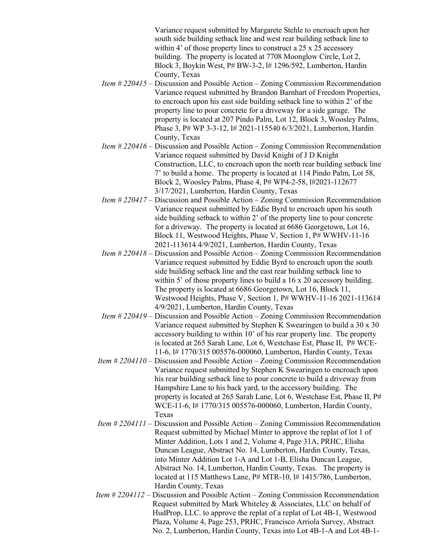Variance request submitted by Margarete Stehle to encroach upon her south side building setback line and west rear building setback line to within 4' of those property lines to construct a 25 x 25 accessory building. The property is located at 7708 Moonglow Circle, Lot 2, Block 3, Boykin West, P# BW-3-2, l# 1296/592, Lumberton, Hardin County, Texas

- Item # 220415 Discussion and Possible Action Zoning Commission Recommendation Variance request submitted by Brandon Barnhart of Freedom Properties, to encroach upon his east side building setback line to within 2' of the property line to pour concrete for a driveway for a side garage. The property is located at 207 Pindo Palm, Lot 12, Block 3, Woosley Palms, Phase 3, P# WP 3-3-12, l# 2021-115540 6/3/2021, Lumberton, Hardin County, Texas
- Item # 220416 Discussion and Possible Action Zoning Commission Recommendation Variance request submitted by David Knight of J D Knight Construction, LLC, to encroach upon the north rear building setback line 7' to build a home. The property is located at 114 Pindo Palm, Lot 58, Block 2, Woosley Palms, Phase 4, P# WP4-2-58, l#2021-112677 3/17/2021, Lumberton, Hardin County, Texas
- Item # 220417 Discussion and Possible Action Zoning Commission Recommendation Variance request submitted by Eddie Byrd to encroach upon his south side building setback to within 2' of the property line to pour concrete for a driveway. The property is located at 6686 Georgetown, Lot 16, Block 11, Westwood Heights, Phase V, Section 1, P# WWHV-11-16 2021-113614 4/9/2021, Lumberton, Hardin County, Texas
- Item # 220418 Discussion and Possible Action Zoning Commission Recommendation Variance request submitted by Eddie Byrd to encroach upon the south side building setback line and the east rear building setback line to within 5' of those property lines to build a 16 x 20 accessory building. The property is located at 6686 Georgetown, Lot 16, Block 11, Westwood Heights, Phase V, Section 1, P# WWHV-11-16 2021-113614 4/9/2021, Lumberton, Hardin County, Texas
- Item # 220419 Discussion and Possible Action Zoning Commission Recommendation Variance request submitted by Stephen K Swearingen to build a 30 x 30 accessory building to within 10' of his rear property line. The property is located at 265 Sarah Lane, Lot 6, Westchase Est, Phase II, P# WCE- 11-6, l# 1770/315 005576-000060, Lumberton, Hardin County, Texas
- Item # 2204110 Discussion and Possible Action Zoning Commission Recommendation Variance request submitted by Stephen K Swearingen to encroach upon his rear building setback line to pour concrete to build a driveway from Hampshire Lane to his back yard, to the accessory building. The property is located at 265 Sarah Lane, Lot 6, Westchase Est, Phase II, P# WCE-11-6, l# 1770/315 005576-000060, Lumberton, Hardin County, Texas
- Item # 2204111 Discussion and Possible Action Zoning Commission Recommendation Request submitted by Michael Minter to approve the replat of lot 1 of Minter Addition, Lots 1 and 2, Volume 4, Page 31A, PRHC, Elisha Duncan League, Abstract No. 14, Lumberton, Hardin County, Texas, into Minter Addition Lot 1-A and Lot 1-B, Elisha Duncan League, Abstract No. 14, Lumberton, Hardin County, Texas. The property is located at 115 Matthews Lane, P# MTR-10, 1# 1415/786, Lumberton, Hardin County, Texas
- Item # 2204112 Discussion and Possible Action Zoning Commission Recommendation Request submitted by Mark Whiteley & Associates, LLC on behalf of HudProp, LLC. to approve the replat of a replat of Lot 4B-1, Westwood Plaza, Volume 4, Page 253, PRHC, Francisco Arriola Survey, Abstract No. 2, Lumberton, Hardin County, Texas into Lot 4B-1-A and Lot 4B-1-